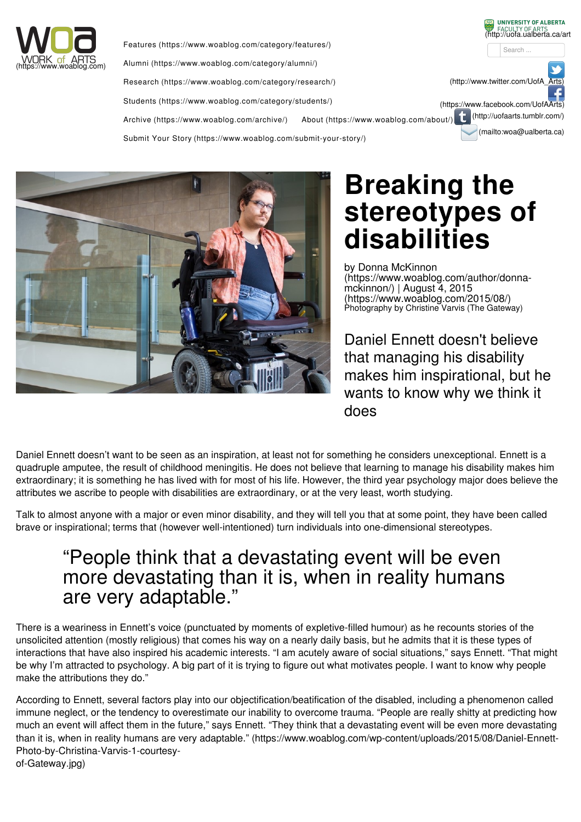

Features [\(https://www.woablog.com/category/features/\)](https://www.woablog.com/category/features/) Alumni [\(https://www.woablog.com/category/alumni/\)](https://www.woablog.com/category/alumni/) Research [\(https://www.woablog.com/category/research/\)](https://www.woablog.com/category/research/) Students [\(https://www.woablog.com/category/students/\)](https://www.woablog.com/category/students/) Archive [\(https://www.woablog.com/archive/\)](https://www.woablog.com/archive/) About [\(https://www.woablog.com/about/\)](https://www.woablog.com/about/)  $\bf{t}$ Submit Your Story [\(https://www.woablog.com/submit-your-story/\)](https://www.woablog.com/submit-your-story/)



## **Breaking the stereotypes of disabilities**

[\(http://www.twitter.com/UofA\\_Arts\)](http://www.twitter.com/UofA_Arts)

[\(https://www.facebook.com/UofAArts\)](https://www.facebook.com/UofAArts)

[\(http://uofaarts.tumblr.com/\)](http://uofaarts.tumblr.com/) [\(mailto:woa@ualberta.ca\)](mailto:woa@ualberta.ca)

Search.

FACULTY OF ARTS<br>(http://uofa.ualberta.ca/art

UNIVERSITY OF ALBERTA

by Donna McKinnon [\(https://www.woablog.com/author/donna-](https://www.woablog.com/author/donna-mckinnon/) mckinnon/) <sup>|</sup> August 4, <sup>2015</sup> [\(https://www.woablog.com/2015/08/\)](https://www.woablog.com/2015/08/) Photography by Christine Varvis (The Gateway)

Daniel Ennett doesn't believe that managing his disability makes him inspirational, but he wants to know why we think it does

Daniel Ennett doesn't want to be seen as an inspiration, at least not for something he considers unexceptional. Ennett is a quadruple amputee, the result of childhood meningitis. He does not believe that learning to manage his disability makes him extraordinary; it is something he has lived with for most of his life. However, the third year psychology major does believe the attributes we ascribe to people with disabilities are extraordinary, or at the very least, worth studying.

Talk to almost anyone with a major or even minor disability, and they will tell you that at some point, they have been called brave or inspirational; terms that (however well-intentioned) turn individuals into one-dimensional stereotypes.

## "People think that a devastating event will be even more devastating than it is, when in reality humans are very adaptable."

There is a weariness in Ennett's voice (punctuated by moments of expletive-filled humour) as he recounts stories of the unsolicited attention (mostly religious) that comes his way on a nearly daily basis, but he admits that it is these types of interactions that have also inspired his academic interests. "I am acutely aware of social situations," says Ennett. "That might be why I'm attracted to psychology. A big part of it is trying to figure out what motivates people. I want to know why people make the attributions they do."

According to Ennett, several factors play into our objectification/beatification of the disabled, including a phenomenon called immune neglect, or the tendency to overestimate our inability to overcome trauma. "People are really shitty at predicting how much an event will affect them in the future," says Ennett. "They think that a devastating event will be even more devastating than it is, when in reality humans are very adaptable." [\(https://www.woablog.com/wp-content/uploads/2015/08/Daniel-Ennett-](https://www.woablog.com/wp-content/uploads/2015/08/Daniel-Ennett-Photo-by-Christina-Varvis-1-courtesy-of-Gateway.jpg)Photo-by-Christina-Varvis-1-courtesyof-Gateway.jpg)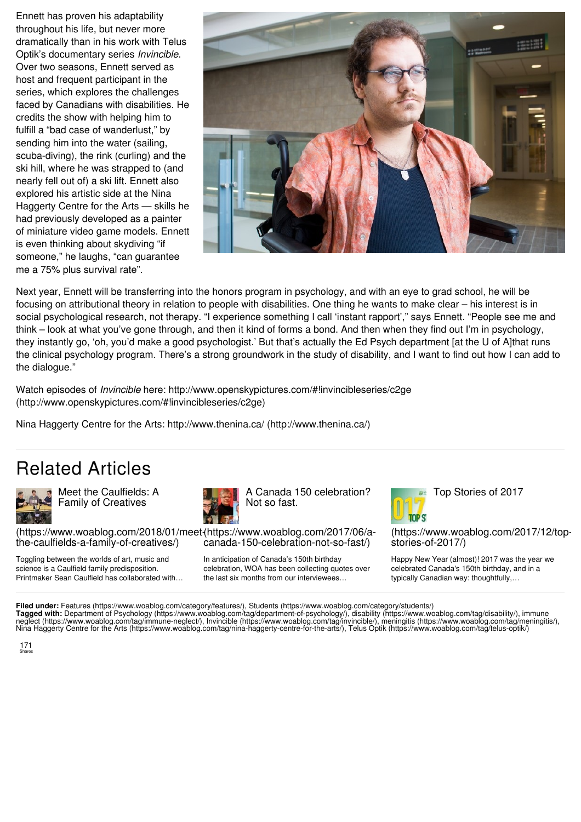Ennett has proven his adaptability throughout his life, but never more dramatically than in his work with Telus Optik's documentary series *Invincible*. Over two seasons, Ennett served as host and frequent participant in the series, which explores the challenges faced by Canadians with disabilities. He credits the show with helping him to fulfill a "bad case of wanderlust," by sending him into the water (sailing, scuba-diving), the rink (curling) and the ski hill, where he was strapped to (and nearly fell out of) a ski lift. Ennett also explored his artistic side at the Nina Haggerty Centre for the Arts — skills he had previously developed as a painter of miniature video game models. Ennett is even thinking about skydiving "if someone," he laughs, "can guarantee me a 75% plus survival rate".



Next year, Ennett will be transferring into the honors program in psychology, and with an eye to grad school, he will be focusing on attributional theory in relation to people with disabilities. One thing he wants to make clear – his interest is in social psychological research, not therapy. "I experience something I call 'instant rapport'," says Ennett. "People see me and think – look at what you've gone through, and then it kind of forms a bond. And then when they find out I'm in psychology, they instantly go, 'oh, you'd make a good psychologist.' But that's actually the Ed Psych department [at the U of A]that runs the clinical psychology program. There's a strong groundwork in the study of disability, and I want to find out how I can add to the dialogue."

Watch episodes of *Invincible* here: http://www.openskypictures.com/#!invincibleseries/c2ge [\(http://www.openskypictures.com/#!invincibleseries/c2ge\)](http://www.openskypictures.com/#!invincibleseries/c2ge)

Nina Haggerty Centre for the Arts: http://www.thenina.ca/ [\(http://www.thenina.ca/\)](http://www.thenina.ca/)

## Related Articles



Meet the Caulfields: A Family of Creatives

[\(https://www.woablog.com/2018/01/meet-](https://www.woablog.com/2018/01/meet-the-caulfields-a-family-of-creatives/)[\(https://www.woablog.com/2017/06/a](https://www.woablog.com/2017/06/a-canada-150-celebration-not-so-fast/)the-caulfields-a-family-of-creatives/) canada-150-celebration-not-so-fast/)

Toggling between the worlds of art, music and science is a Caulfield family predisposition. Printmaker Sean Caulfield has collaborated with… In anticipation of Canada's 150th birthday celebration, WOA has been collecting quotes over the last six months from our interviewees…

Not so fast.

A Canada 150 celebration?



Top Stories of 2017

[\(https://www.woablog.com/2017/12/top](https://www.woablog.com/2017/12/top-stories-of-2017/)stories-of-2017/)

Happy New Year (almost)! 2017 was the year we celebrated Canada's 150th birthday, and in a typically Canadian way: thoughtfully,…

**Filed under:** Features [\(https://www.woablog.com/category/features/\),](https://www.woablog.com/category/features/) Students [\(https://www.woablog.com/category/students/\)](https://www.woablog.com/category/students/)<br>**Tagged with:** Department of Psychology [\(https://www.woablog.com/tag/department-of-psychology/\)](https://www.woablog.com/tag/department-of-psychology/)[,](https://www.woablog.com/tag/immune-neglect/) d